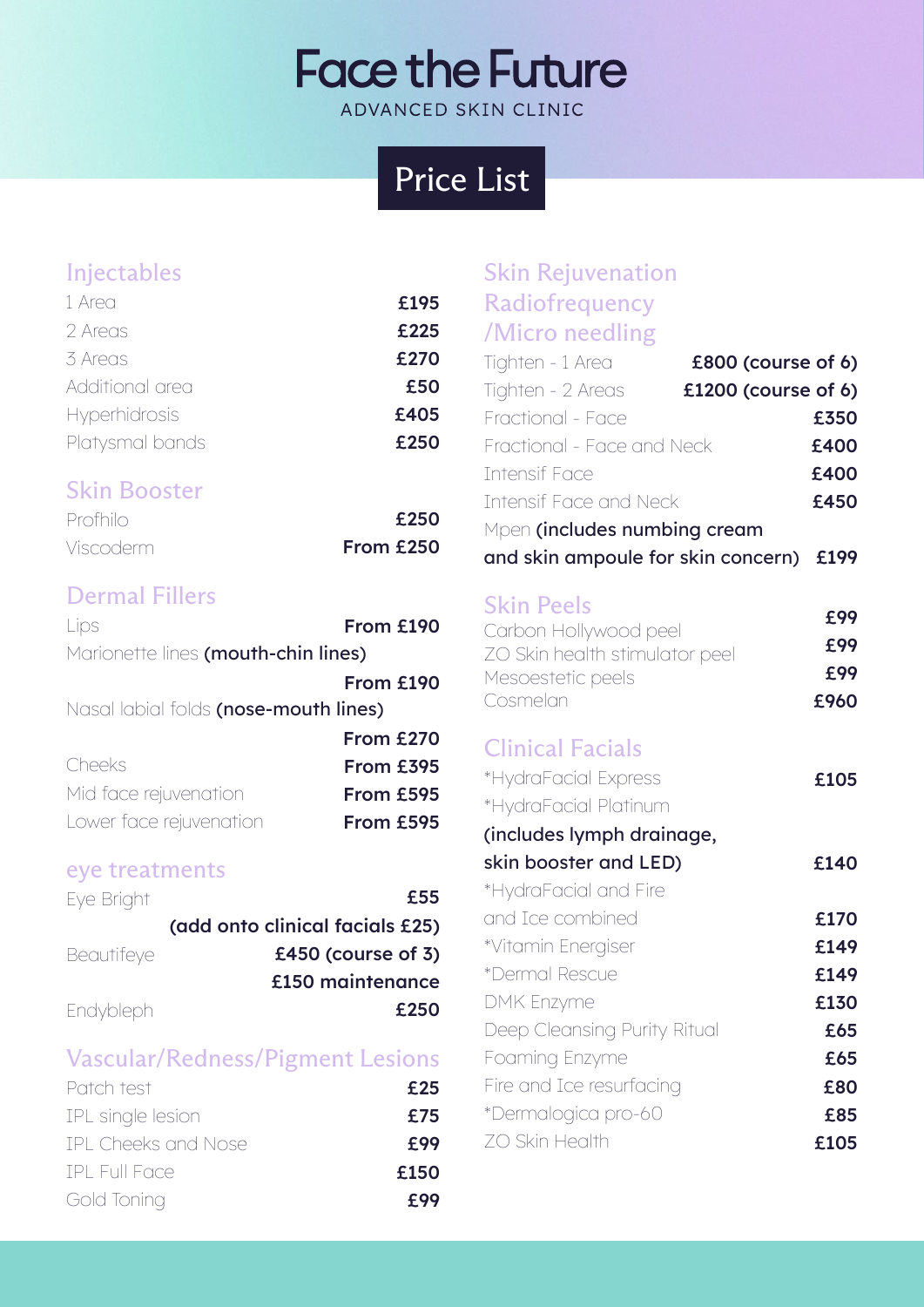# **Face the Future** ADVANCED SKIN CLINIC

# Price List

## Injectables

| 1 Area          | £195 |
|-----------------|------|
| 2 Areas         | £225 |
| 3 Areas         | £270 |
| Additional area | £50  |
| Hyperhidrosis   | £405 |
| Platysmal bands | £250 |
|                 |      |

## Skin Booster

| Profhilo  | £250      |
|-----------|-----------|
| Viscoderm | From £250 |

## Dermal Fillers

| Lips                                  | From £190 |
|---------------------------------------|-----------|
| Marionette lines (mouth-chin lines)   |           |
|                                       | From £190 |
| Nasal labial folds (nose-mouth lines) |           |
|                                       | From £270 |
| Cheeks                                | From £395 |
| Mid face rejuvenation                 | From £595 |
| Lower face rejuvenation               | From £595 |
|                                       |           |

#### eye treatments

| Eye Bright        | £55                             |
|-------------------|---------------------------------|
|                   | (add onto clinical facials £25) |
| <b>Beautifeye</b> | £450 (course of $3$ )           |
|                   | £150 maintenance                |
| Endybleph         | £250                            |

## Vascular/Redness/Pigment Lesions

| Patch test          | £25  |
|---------------------|------|
| IPL single lesion   | £75  |
| IPL Cheeks and Nose | £99  |
| TPL Full Face       | £150 |
| Gold Toning         | £99  |

| <b>Skin Rejuvenation</b>                 |      |
|------------------------------------------|------|
| Radiofrequency                           |      |
| /Micro needling                          |      |
| Tighten - 1 Area<br>£800 (course of 6)   |      |
| Tighten - 2 Areas<br>£1200 (course of 6) |      |
| Fractional - Face                        | £350 |
| Fractional - Face and Neck               | £400 |
| <b>Intensif Face</b>                     | £400 |
| <b>Intensif Face and Neck</b>            | £450 |
| Mpen (includes numbing cream             |      |
| and skin ampoule for skin concern)       | £199 |
| <b>Skin Peels</b>                        |      |
| Carbon Hollywood peel                    | £99  |
| ZO Skin health stimulator peel           | £99  |
| Mesoestetic peels                        | £99  |
| Cosmelan                                 | £960 |
| <b>Clinical Facials</b>                  |      |
| *HydraFacial Express                     | £105 |
| *HydraFacial Platinum                    |      |
| (includes lymph drainage,                |      |
| skin booster and LED)                    | £140 |
| *HydraFacial and Fire                    |      |
| and Ice combined                         | £170 |
| *Vitamin Energiser                       | £149 |
| *Dermal Rescue                           | £149 |
| <b>DMK Enzyme</b>                        | £130 |
| Deep Cleansing Purity Ritual             | £65  |
| Foaming Enzyme                           | £65  |
| Fire and Ice resurfacing                 | £80  |
| *Dermalogica pro-60                      | £85  |
| ZO Skin Health                           | £105 |
|                                          |      |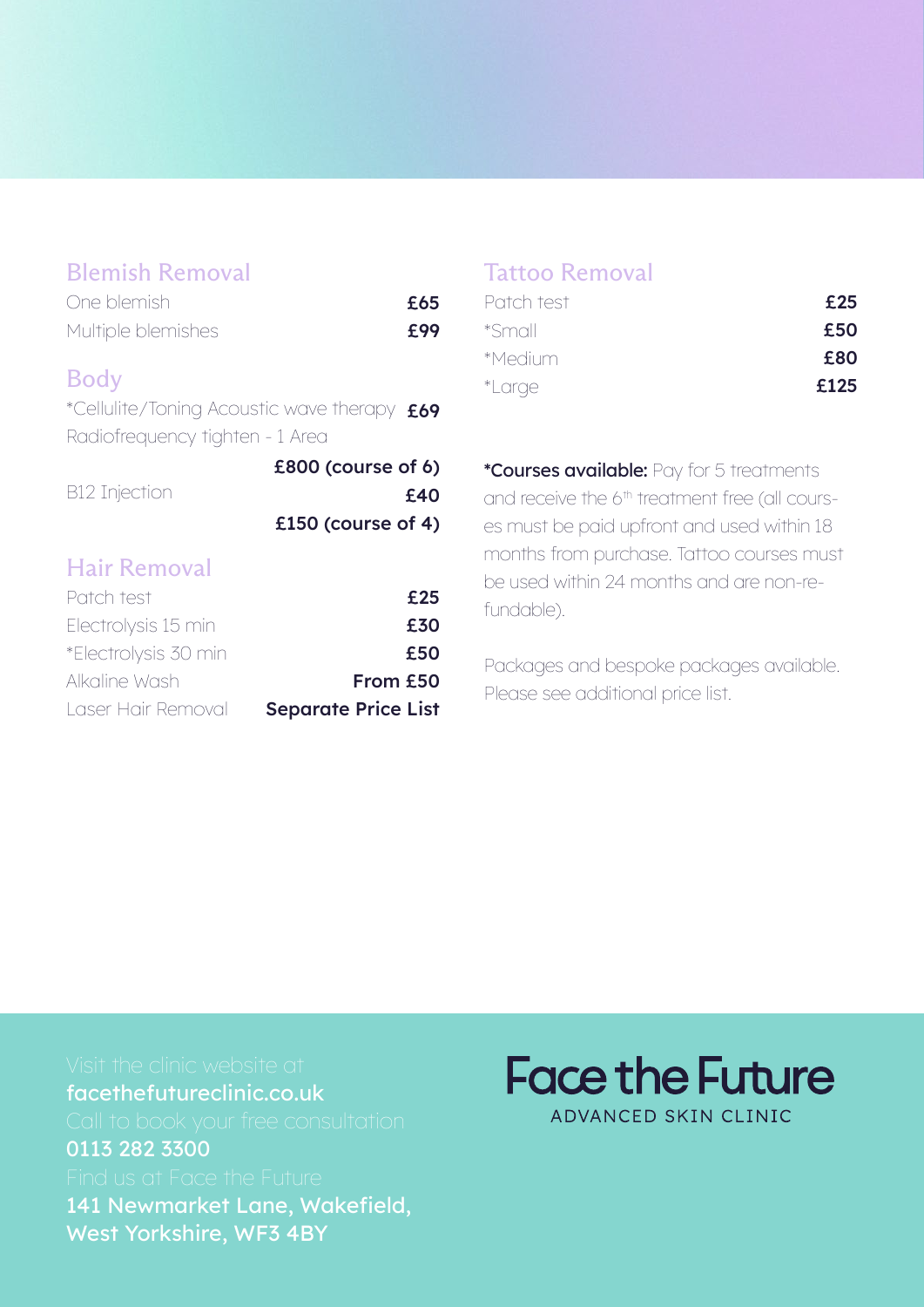### Blemish Removal

| One blemish        | £65 |
|--------------------|-----|
| Multiple blemishes | £99 |

#### Body

\*Cellulite/Toning Acoustic wave therapy £69 Radiofrequency tighten - 1 Area

|               | £800 (course of 6) |
|---------------|--------------------|
| B12 Injection | £40                |
|               | £150 (course of 4) |

## Hair Removal

| Patch test           | £25                        |
|----------------------|----------------------------|
| Electrolysis 15 min  | £30                        |
| *Electrolysis 30 min | £50                        |
| Alkaline Wash        | From £50                   |
| Laser Hair Removal   | <b>Separate Price List</b> |

#### Tattoo Removal

| Patch test    | £25  |
|---------------|------|
| *Small        | £50  |
| *Medium       | £80  |
| <i>*Large</i> | £125 |

\*Courses available: Pay for 5 treatments and receive the 6<sup>th</sup> treatment free (all courses must be paid upfront and used within 18 months from purchase. Tattoo courses must be used within 24 months and are non-refundable).

Packages and bespoke packages available. Please see additional price list.

facethefutureclinic.co.uk 0113 282 3300 141 Newmarket Lane, Wakefield, West Yorkshire, WF3 4BY